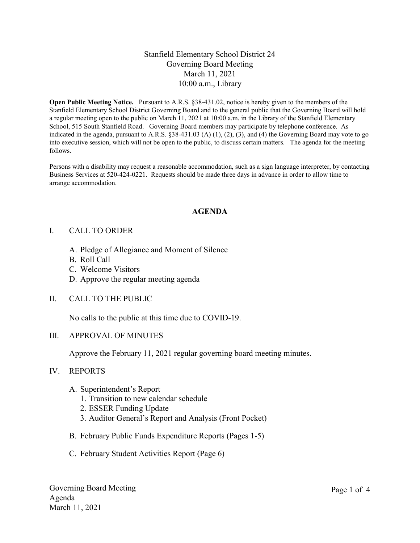# Stanfield Elementary School District 24 Governing Board Meeting March 11, 2021 10:00 a.m., Library

Open Public Meeting Notice. Pursuant to A.R.S. §38-431.02, notice is hereby given to the members of the Stanfield Elementary School District Governing Board and to the general public that the Governing Board will hold a regular meeting open to the public on March 11, 2021 at 10:00 a.m. in the Library of the Stanfield Elementary School, 515 South Stanfield Road. Governing Board members may participate by telephone conference. As indicated in the agenda, pursuant to A.R.S. §38-431.03 (A) (1), (2), (3), and (4) the Governing Board may vote to go into executive session, which will not be open to the public, to discuss certain matters. The agenda for the meeting follows.

Persons with a disability may request a reasonable accommodation, such as a sign language interpreter, by contacting Business Services at 520-424-0221. Requests should be made three days in advance in order to allow time to arrange accommodation.

## AGENDA

## I. CALL TO ORDER

- A. Pledge of Allegiance and Moment of Silence
- B. Roll Call
- C. Welcome Visitors
- D. Approve the regular meeting agenda
- II. CALL TO THE PUBLIC

No calls to the public at this time due to COVID-19.

## III. APPROVAL OF MINUTES

Approve the February 11, 2021 regular governing board meeting minutes.

#### IV. REPORTS

- A. Superintendent's Report
	- 1. Transition to new calendar schedule
	- 2. ESSER Funding Update
	- 3. Auditor General's Report and Analysis (Front Pocket)
- B. February Public Funds Expenditure Reports (Pages 1-5)
- C. February Student Activities Report (Page 6)

Governing Board Meeting Agenda March 11, 2021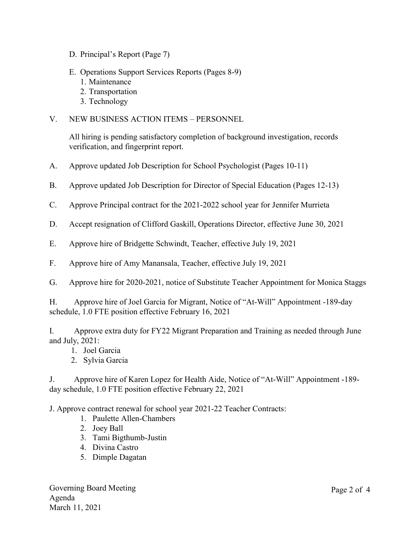- D. Principal's Report (Page 7)
- E. Operations Support Services Reports (Pages 8-9)
	- 1. Maintenance
	- 2. Transportation
	- 3. Technology

# V. NEW BUSINESS ACTION ITEMS – PERSONNEL

All hiring is pending satisfactory completion of background investigation, records verification, and fingerprint report.

- A. Approve updated Job Description for School Psychologist (Pages 10-11)
- B. Approve updated Job Description for Director of Special Education (Pages 12-13)
- C. Approve Principal contract for the 2021-2022 school year for Jennifer Murrieta
- D. Accept resignation of Clifford Gaskill, Operations Director, effective June 30, 2021
- E. Approve hire of Bridgette Schwindt, Teacher, effective July 19, 2021
- F. Approve hire of Amy Manansala, Teacher, effective July 19, 2021
- G. Approve hire for 2020-2021, notice of Substitute Teacher Appointment for Monica Staggs

H. Approve hire of Joel Garcia for Migrant, Notice of "At-Will" Appointment -189-day schedule, 1.0 FTE position effective February 16, 2021

I. Approve extra duty for FY22 Migrant Preparation and Training as needed through June and July, 2021:

- 1. Joel Garcia
- 2. Sylvia Garcia

J. Approve hire of Karen Lopez for Health Aide, Notice of "At-Will" Appointment -189 day schedule, 1.0 FTE position effective February 22, 2021

J. Approve contract renewal for school year 2021-22 Teacher Contracts:

- 1. Paulette Allen-Chambers
- 2. Joey Ball
- 3. Tami Bigthumb-Justin
- 4. Divina Castro
- 5. Dimple Dagatan

Governing Board Meeting Agenda March 11, 2021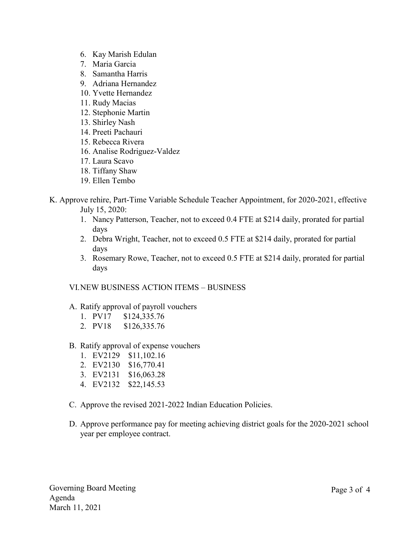- 6. Kay Marish Edulan
- 7. Maria Garcia
- 8. Samantha Harris
- 9. Adriana Hernandez
- 10. Yvette Hernandez
- 11. Rudy Macias
- 12. Stephonie Martin
- 13. Shirley Nash
- 14. Preeti Pachauri
- 15. Rebecca Rivera
- 16. Analise Rodriguez-Valdez
- 17. Laura Scavo
- 18. Tiffany Shaw
- 19. Ellen Tembo
- K. Approve rehire, Part-Time Variable Schedule Teacher Appointment, for 2020-2021, effective July 15, 2020:
	- 1. Nancy Patterson, Teacher, not to exceed 0.4 FTE at \$214 daily, prorated for partial days
	- 2. Debra Wright, Teacher, not to exceed 0.5 FTE at \$214 daily, prorated for partial days
	- 3. Rosemary Rowe, Teacher, not to exceed 0.5 FTE at \$214 daily, prorated for partial days

## VI.NEW BUSINESS ACTION ITEMS – BUSINESS

- A. Ratify approval of payroll vouchers
	- 1. PV17 \$124,335.76
	- 2. PV18 \$126,335.76
- B. Ratify approval of expense vouchers
	- 1. EV2129 \$11,102.16
	- 2. EV2130 \$16,770.41
	- 3. EV2131 \$16,063.28
	- 4. EV2132 \$22,145.53
- C. Approve the revised 2021-2022 Indian Education Policies.
- D. Approve performance pay for meeting achieving district goals for the 2020-2021 school year per employee contract.